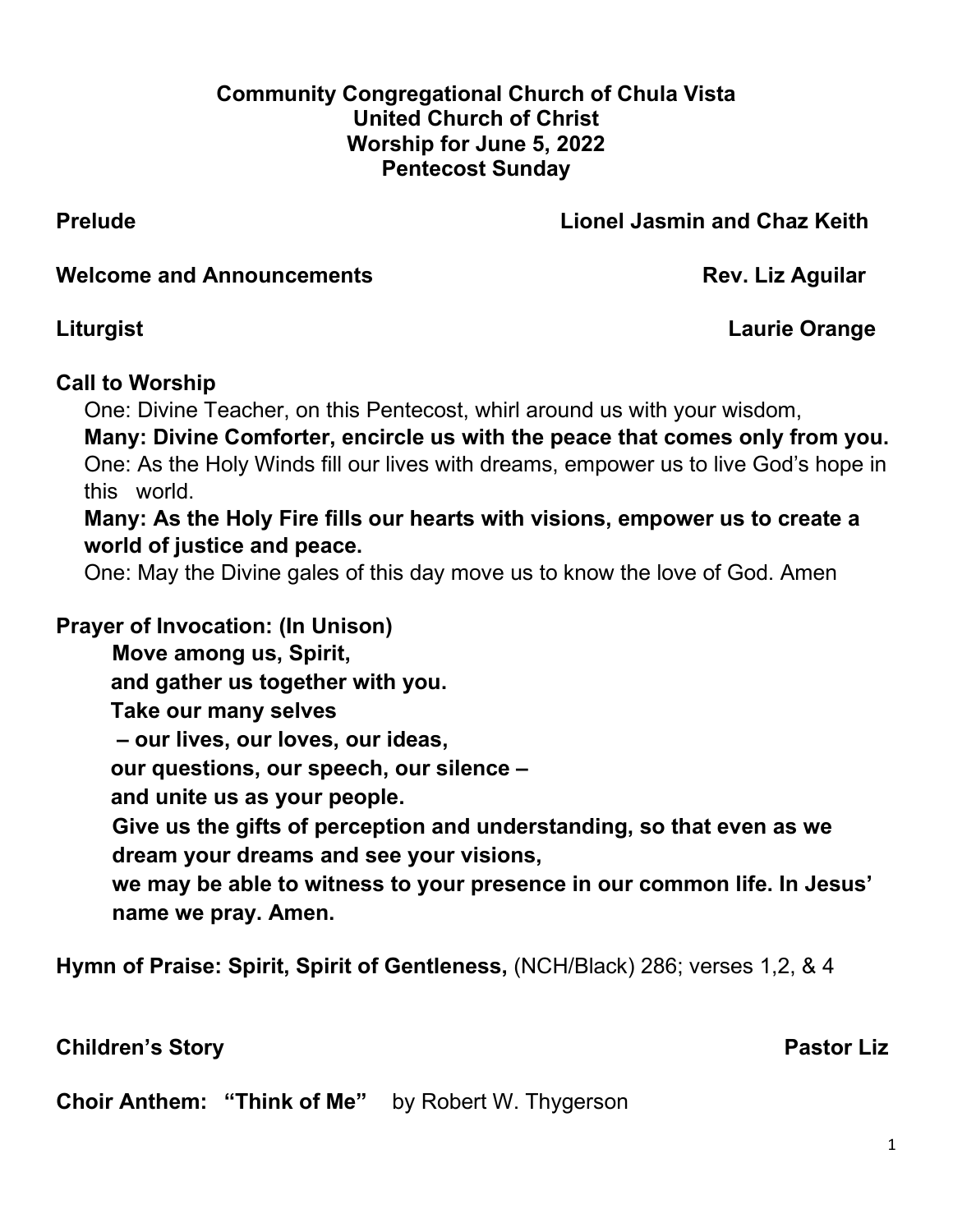#### **Community Congregational Church of Chula Vista United Church of Christ Worship for June 5, 2022 Pentecost Sunday**

## **Prelude Lionel Jasmin and Chaz Keith**

**Welcome and Announcements Rev. Liz Aguilar** 

**Liturgist Laurie Orange**

## **Call to Worship**

One: Divine Teacher, on this Pentecost, whirl around us with your wisdom,

**Many: Divine Comforter, encircle us with the peace that comes only from you.** One: As the Holy Winds fill our lives with dreams, empower us to live God's hope in this world.

**Many: As the Holy Fire fills our hearts with visions, empower us to create a world of justice and peace.**

One: May the Divine gales of this day move us to know the love of God. Amen

**Prayer of Invocation: (In Unison)** 

**Move among us, Spirit,**

 **and gather us together with you.** 

 **Take our many selves**

 **– our lives, our loves, our ideas,**

 **our questions, our speech, our silence –**

 **and unite us as your people.**

**Give us the gifts of perception and understanding, so that even as we dream your dreams and see your visions,**

**we may be able to witness to your presence in our common life. In Jesus' name we pray. Amen.**

**Hymn of Praise: Spirit, Spirit of Gentleness,** (NCH/Black) 286; verses 1,2, & 4

**Children's Story Children's Story Activity Acts and Acts and Acts and Acts and Acts and Pastor Liz** 

**Choir Anthem: "Think of Me"** by Robert W. Thygerson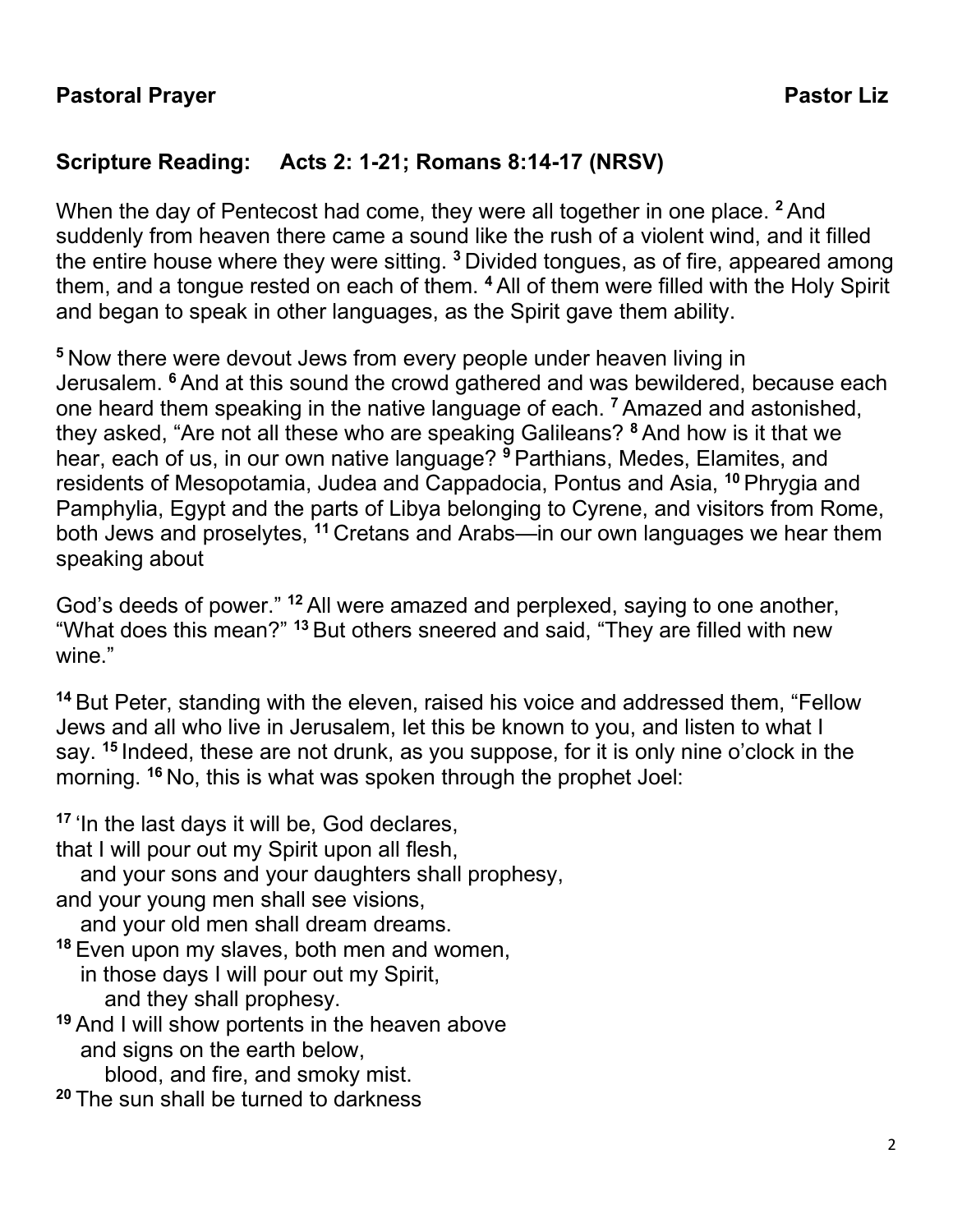# **Scripture Reading: Acts 2: 1-21; Romans 8:14-17 (NRSV)**

When the day of Pentecost had come, they were all together in one place. **<sup>2</sup>**And suddenly from heaven there came a sound like the rush of a violent wind, and it filled the entire house where they were sitting. **<sup>3</sup>**Divided tongues, as of fire, appeared among them, and a tongue rested on each of them. **<sup>4</sup>**All of them were filled with the Holy Spirit and began to speak in other languages, as the Spirit gave them ability.

**<sup>5</sup>**Now there were devout Jews from every people under heaven living in Jerusalem. **<sup>6</sup>**And at this sound the crowd gathered and was bewildered, because each one heard them speaking in the native language of each. **<sup>7</sup>**Amazed and astonished, they asked, "Are not all these who are speaking Galileans? **<sup>8</sup>**And how is it that we hear, each of us, in our own native language? **<sup>9</sup>**Parthians, Medes, Elamites, and residents of Mesopotamia, Judea and Cappadocia, Pontus and Asia, **<sup>10</sup>** Phrygia and Pamphylia, Egypt and the parts of Libya belonging to Cyrene, and visitors from Rome, both Jews and proselytes, **<sup>11</sup>** Cretans and Arabs—in our own languages we hear them speaking about

God's deeds of power." **<sup>12</sup>** All were amazed and perplexed, saying to one another, "What does this mean?" **<sup>13</sup>** But others sneered and said, "They are filled with new wine."

**<sup>14</sup>** But Peter, standing with the eleven, raised his voice and addressed them, "Fellow Jews and all who live in Jerusalem, let this be known to you, and listen to what I say. **<sup>15</sup>** Indeed, these are not drunk, as you suppose, for it is only nine o'clock in the morning. **<sup>16</sup>** No, this is what was spoken through the prophet Joel:

**<sup>17</sup>** 'In the last days it will be, God declares, that I will pour out my Spirit upon all flesh, and your sons and your daughters shall prophesy, and your young men shall see visions, and your old men shall dream dreams. **<sup>18</sup>** Even upon my slaves, both men and women, in those days I will pour out my Spirit, and they shall prophesy. **<sup>19</sup>** And I will show portents in the heaven above and signs on the earth below, blood, and fire, and smoky mist.

**<sup>20</sup>** The sun shall be turned to darkness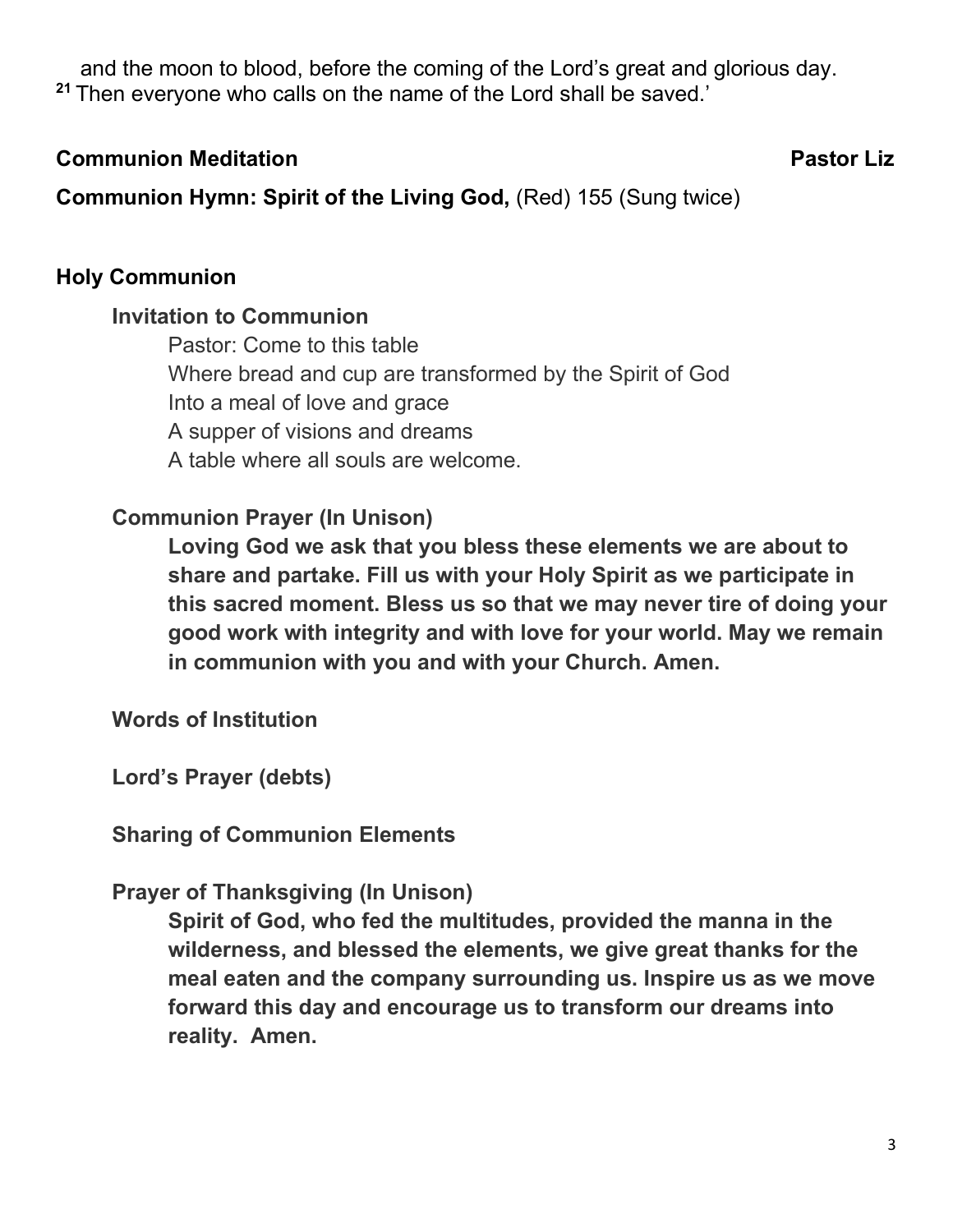and the moon to blood, before the coming of the Lord's great and glorious day. **<sup>21</sup>** Then everyone who calls on the name of the Lord shall be saved.'

#### **Communion Meditation Account Communion Meditation Account Communion Pastor Liz**

**Communion Hymn: Spirit of the Living God, (Red) 155 (Sung twice)** 

# **Holy Communion**

#### **Invitation to Communion**

Pastor: Come to this table Where bread and cup are transformed by the Spirit of God Into a meal of love and grace A supper of visions and dreams A table where all souls are welcome.

## **Communion Prayer (In Unison)**

**Loving God we ask that you bless these elements we are about to share and partake. Fill us with your Holy Spirit as we participate in this sacred moment. Bless us so that we may never tire of doing your good work with integrity and with love for your world. May we remain in communion with you and with your Church. Amen.** 

**Words of Institution**

**Lord's Prayer (debts)**

**Sharing of Communion Elements**

## **Prayer of Thanksgiving (In Unison)**

**Spirit of God, who fed the multitudes, provided the manna in the wilderness, and blessed the elements, we give great thanks for the meal eaten and the company surrounding us. Inspire us as we move forward this day and encourage us to transform our dreams into reality. Amen.**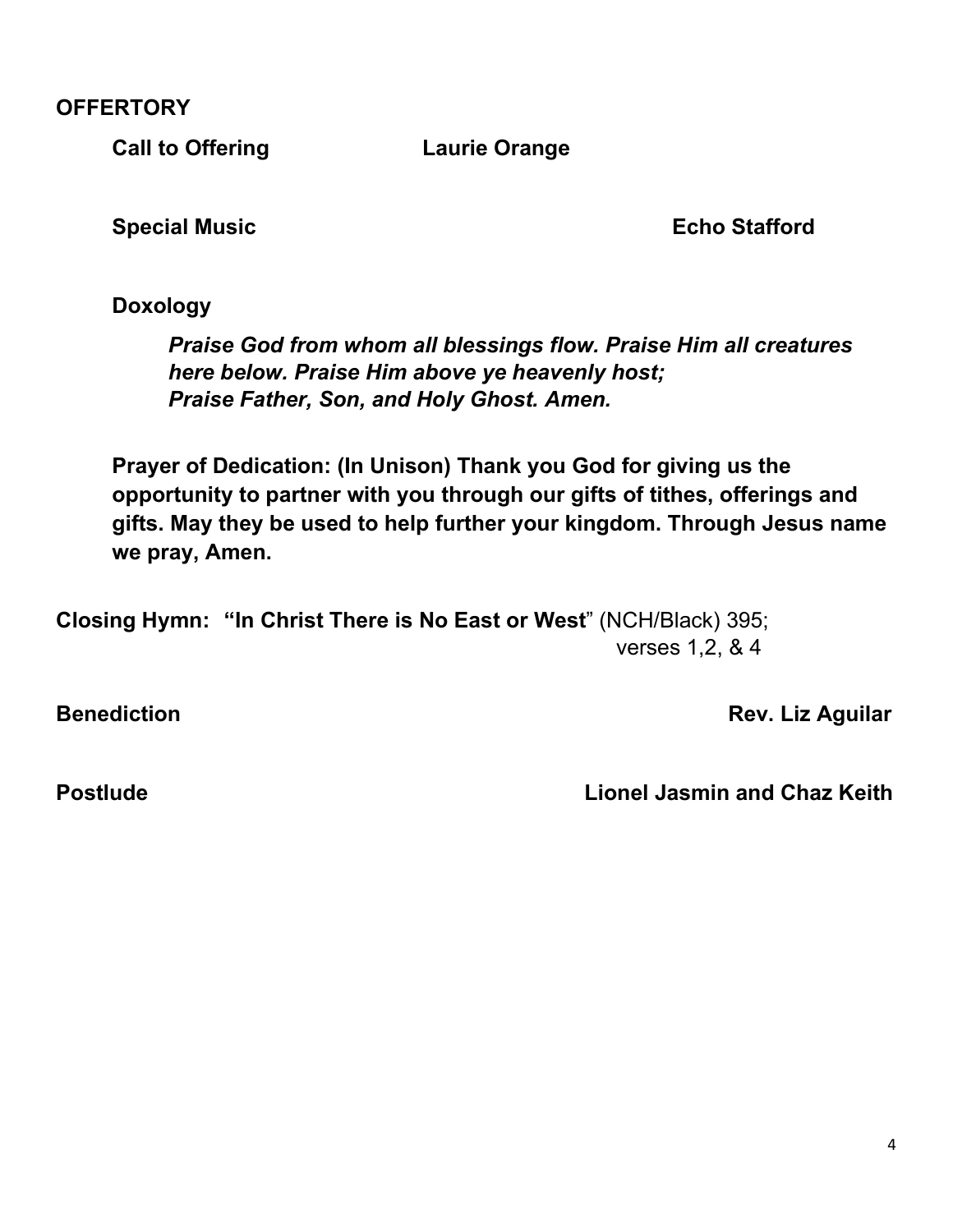**OFFERTORY**

**Call to Offering Call to Offering Call to Defect of Laurie Orange** 

**Special Music Echo Stafford** 

**Doxology**

*Praise God from whom all blessings flow. Praise Him all creatures here below. Praise Him above ye heavenly host; Praise Father, Son, and Holy Ghost. Amen.* 

**Prayer of Dedication: (In Unison) Thank you God for giving us the opportunity to partner with you through our gifts of tithes, offerings and gifts. May they be used to help further your kingdom. Through Jesus name we pray, Amen.** 

**Closing Hymn: "In Christ There is No East or West**" (NCH/Black) 395; verses 1,2, & 4

**Benediction Benediction Rev.** Liz Aguilar

**Postlude Lionel Jasmin and Chaz Keith**